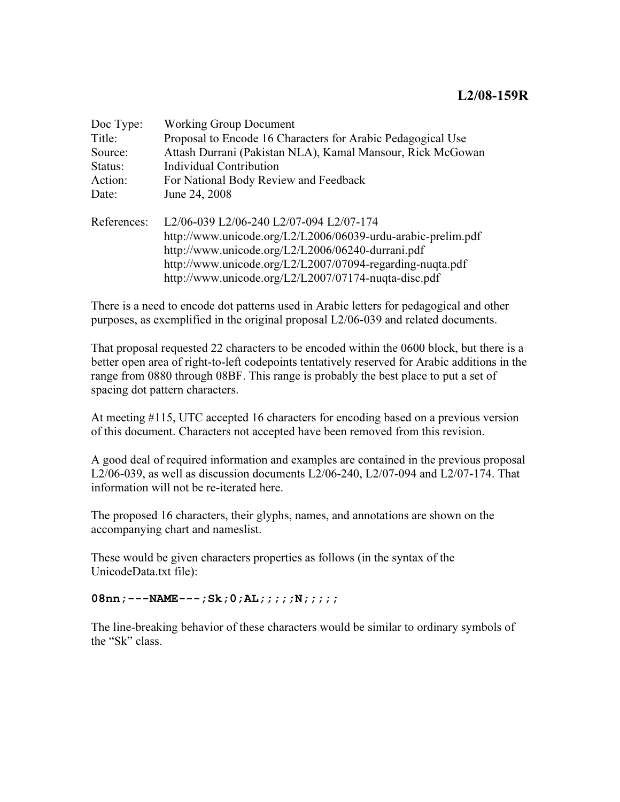| Doc Type:   | <b>Working Group Document</b>                                |  |  |
|-------------|--------------------------------------------------------------|--|--|
| Title:      | Proposal to Encode 16 Characters for Arabic Pedagogical Use  |  |  |
| Source:     | Attash Durrani (Pakistan NLA), Kamal Mansour, Rick McGowan   |  |  |
| Status:     | Individual Contribution                                      |  |  |
| Action:     | For National Body Review and Feedback                        |  |  |
| Date:       | June 24, 2008                                                |  |  |
| References: | L2/06-039 L2/06-240 L2/07-094 L2/07-174                      |  |  |
|             | http://www.unicode.org/L2/L2006/06039-urdu-arabic-prelim.pdf |  |  |
|             | http://www.unicode.org/L2/L2006/06240-durrani.pdf            |  |  |
|             | http://www.unicode.org/L2/L2007/07094-regarding-nuqta.pdf    |  |  |
|             | http://www.unicode.org/L2/L2007/07174-nuqta-disc.pdf         |  |  |

There is a need to encode dot patterns used in Arabic letters for pedagogical and other purposes, as exemplified in the original proposal L2/06-039 and related documents.

That proposal requested 22 characters to be encoded within the 0600 block, but there is a better open area of right-to-left codepoints tentatively reserved for Arabic additions in the range from 0880 through 08BF. This range is probably the best place to put a set of spacing dot pattern characters.

At meeting #115, UTC accepted 16 characters for encoding based on a previous version of this document. Characters not accepted have been removed from this revision.

A good deal of required information and examples are contained in the previous proposal L2/06-039, as well as discussion documents L2/06-240, L2/07-094 and L2/07-174. That information will not be re-iterated here.

The proposed 16 characters, their glyphs, names, and annotations are shown on the accompanying chart and nameslist.

These would be given characters properties as follows (in the syntax of the UnicodeData.txt file):

08nn;---NAME---;Sk;0;AL;;;;;N;;;;;

The line-breaking behavior of these characters would be similar to ordinary symbols of the "Sk" class.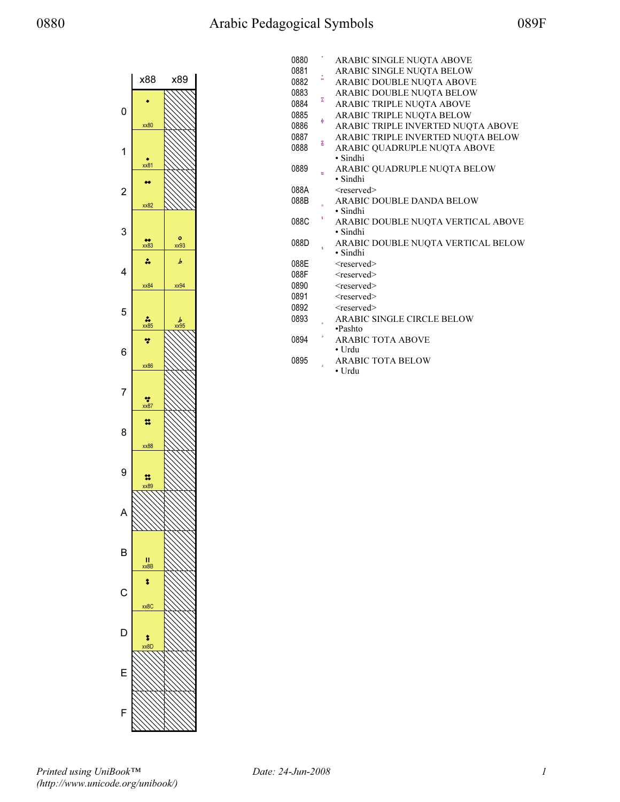## 0880 Arabic Pedagogical Symbols 089F



| 0880 |    | ARABIC SINGLE NUQTA ABOVE          |
|------|----|------------------------------------|
| 0881 |    | ARABIC SINGLE NUQTA BELOW          |
| 0882 | ă  | ARABIC DOUBLE NUQTA ABOVE          |
| 0883 |    | ARABIC DOUBLE NUQTA BELOW          |
| 0884 | z  | ARABIC TRIPLE NUQTA ABOVE          |
| 0885 |    | ARABIC TRIPLE NUQTA BELOW          |
| 0886 | ģ  | ARABIC TRIPLE INVERTED NUQTA ABOVE |
| 0887 |    | ARABIC TRIPLE INVERTED NUQTA BELOW |
| 0888 | ĭ  | ARABIC QUADRUPLE NUQTA ABOVE       |
|      |    | • Sindhi                           |
| 0889 |    | ARABIC QUADRUPLE NUQTA BELOW       |
|      |    | • Sindhi                           |
| 088A |    | <reserved></reserved>              |
| 088B |    | ARABIC DOUBLE DANDA BELOW          |
|      | \$ | • Sindhi                           |
| 088C |    | ARABIC DOUBLE NUQTA VERTICAL ABOVE |
|      |    | $\cdot$ Sindhi                     |
| 088D |    | ARABIC DOUBLE NUQTA VERTICAL BELOW |
|      |    | • Sindhi                           |
| 088E |    | $<$ reserved $>$                   |
| 088F |    | <reserved></reserved>              |
| 0890 |    | <reserved></reserved>              |
| 0891 |    | <reserved></reserved>              |
| 0892 |    | $<$ reserved $>$                   |
| 0893 |    | ARABIC SINGLE CIRCLE BELOW         |
|      |    | •Pashto                            |
| 0894 |    | <b>ARABIC TOTA ABOVE</b>           |
|      |    | $\bullet$ Urdu                     |
| 0895 |    | <b>ARABIC TOTA BELOW</b>           |
|      |    | • Urdu                             |

Printed using UniBook™ (http://www.unicode.org/unibook/)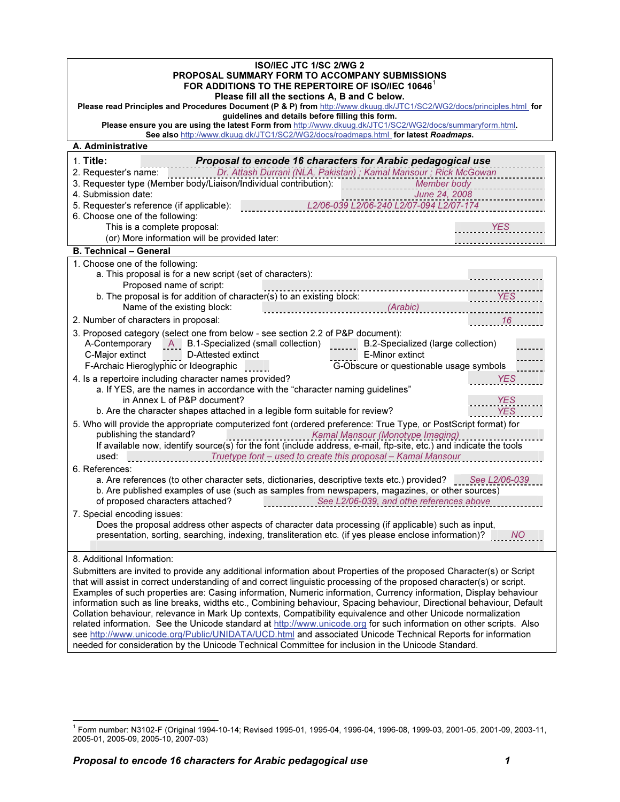| <b>ISO/IEC JTC 1/SC 2/WG 2</b><br>PROPOSAL SUMMARY FORM TO ACCOMPANY SUBMISSIONS<br>FOR ADDITIONS TO THE REPERTOIRE OF ISO/IEC 10646 <sup>1</sup><br>Please fill all the sections A, B and C below.<br>Please read Principles and Procedures Document (P & P) from http://www.dkuug.dk/JTC1/SC2/WG2/docs/principles.html for                                                                                                                                                                                                                                                                                                                                                                                                                                                                                                                                                                                                                                                           |  |  |  |  |
|----------------------------------------------------------------------------------------------------------------------------------------------------------------------------------------------------------------------------------------------------------------------------------------------------------------------------------------------------------------------------------------------------------------------------------------------------------------------------------------------------------------------------------------------------------------------------------------------------------------------------------------------------------------------------------------------------------------------------------------------------------------------------------------------------------------------------------------------------------------------------------------------------------------------------------------------------------------------------------------|--|--|--|--|
| guidelines and details before filling this form.<br>Please ensure you are using the latest Form from http://www.dkuug.dk/JTC1/SC2/WG2/docs/summaryform.html.<br>See also http://www.dkuug.dk/JTC1/SC2/WG2/docs/roadmaps.html for latest Roadmaps.                                                                                                                                                                                                                                                                                                                                                                                                                                                                                                                                                                                                                                                                                                                                      |  |  |  |  |
| A. Administrative                                                                                                                                                                                                                                                                                                                                                                                                                                                                                                                                                                                                                                                                                                                                                                                                                                                                                                                                                                      |  |  |  |  |
| 1. Title:<br>Proposal to encode 16 characters for Arabic pedagogical use<br>Dr. Attash Durrani (NLA, Pakistan); Kamal Mansour; Rick McGowan<br>2. Requester's name:<br>3. Requester type (Member body/Liaison/Individual contribution):<br>Member body<br>4. Submission date:<br>June 24, 2008                                                                                                                                                                                                                                                                                                                                                                                                                                                                                                                                                                                                                                                                                         |  |  |  |  |
| L2/06-039 L2/06-240 L2/07-094 L2/07-174<br>5. Requester's reference (if applicable):<br>6. Choose one of the following:<br>This is a complete proposal:<br><b>YES</b><br>(or) More information will be provided later:                                                                                                                                                                                                                                                                                                                                                                                                                                                                                                                                                                                                                                                                                                                                                                 |  |  |  |  |
| <b>B. Technical - General</b>                                                                                                                                                                                                                                                                                                                                                                                                                                                                                                                                                                                                                                                                                                                                                                                                                                                                                                                                                          |  |  |  |  |
| 1. Choose one of the following:<br>a. This proposal is for a new script (set of characters):<br>Proposed name of script:<br>b. The proposal is for addition of character(s) to an existing block:<br>YES<br>Name of the existing block:<br>(Arabic)                                                                                                                                                                                                                                                                                                                                                                                                                                                                                                                                                                                                                                                                                                                                    |  |  |  |  |
| 16<br>2. Number of characters in proposal:<br>3. Proposed category (select one from below - see section 2.2 of P&P document):<br>A-Contemporary A B.1-Specialized (small collection)<br>B.2-Specialized (large collection)<br>$\mathbf{1}$<br>C-Major extinct<br>D-Attested extinct<br>E-Minor extinct<br>F-Archaic Hieroglyphic or Ideographic<br>G-Obscure or questionable usage symbols<br><b>Contract Contract</b>                                                                                                                                                                                                                                                                                                                                                                                                                                                                                                                                                                 |  |  |  |  |
| 4. Is a repertoire including character names provided?<br>YES<br>a. If YES, are the names in accordance with the "character naming guidelines"<br>in Annex L of P&P document?<br><b>YES</b><br><b>YES</b><br>b. Are the character shapes attached in a legible form suitable for review?<br>5. Who will provide the appropriate computerized font (ordered preference: True Type, or PostScript format) for                                                                                                                                                                                                                                                                                                                                                                                                                                                                                                                                                                            |  |  |  |  |
| publishing the standard?<br>Kamal Mansour (Monotype Imaging)<br>If available now, identify source(s) for the font (include address, e-mail, ftp-site, etc.) and indicate the tools<br><b>Example 2018 Truetype font - used to create this proposal - Kamal Mansour</b><br>used:<br>6. References:<br>a. Are references (to other character sets, dictionaries, descriptive texts etc.) provided? See L2/06-039<br>b. Are published examples of use (such as samples from newspapers, magazines, or other sources)<br>of proposed characters attached?<br>See L2/06-039, and othe references above                                                                                                                                                                                                                                                                                                                                                                                      |  |  |  |  |
| 7. Special encoding issues:<br>Does the proposal address other aspects of character data processing (if applicable) such as input,<br>presentation, sorting, searching, indexing, transliteration etc. (if yes please enclose information)?<br><b>NO</b>                                                                                                                                                                                                                                                                                                                                                                                                                                                                                                                                                                                                                                                                                                                               |  |  |  |  |
| 8. Additional Information:<br>Submitters are invited to provide any additional information about Properties of the proposed Character(s) or Script<br>that will assist in correct understanding of and correct linguistic processing of the proposed character(s) or script.<br>Examples of such properties are: Casing information, Numeric information, Currency information, Display behaviour<br>information such as line breaks, widths etc., Combining behaviour, Spacing behaviour, Directional behaviour, Default<br>Collation behaviour, relevance in Mark Up contexts, Compatibility equivalence and other Unicode normalization<br>related information. See the Unicode standard at http://www.unicode.org for such information on other scripts. Also<br>see http://www.unicode.org/Public/UNIDATA/UCD.html and associated Unicode Technical Reports for information<br>needed for consideration by the Unicode Technical Committee for inclusion in the Unicode Standard. |  |  |  |  |

 $^{\rm 1}$  Form number: N3102-F (Original 1994-10-14; Revised 1995-01, 1995-04, 1996-04, 1996-08, 1999-03, 2001-05, 2001-09, 2003-11, 2005-01, 2005-09, 2005-10, 2007-03)